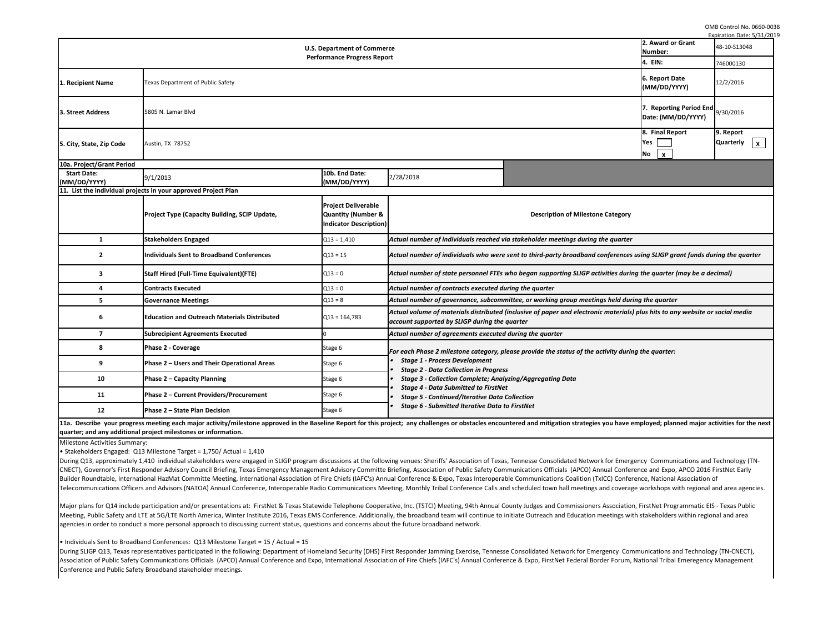During SLIGP Q13, Texas representatives participated in the following: Department of Homeland Security (DHS) First Responder Jamming Exercise, Tennesse Consoli Association of Public Safety Communications Officials (APCO) Annual Conference and Expo, International Association of Fire Chiefs (IAFC's) Annual Conference & Exp Conference and Public Safety Broadband stakeholder meetings.

OMB Control No. 0660-0038  $ratio$  Date:  $E/21$ 

• Individuals Sent to Broadband Conferences: Q13 Milestone Target = 15 / Actual = 15

| <b>U.S. Department of Commerce</b><br><b>Performance Progress Report</b> |                                                                |                                                                                       |                                                                                                                                                                                                                           |                                               |  |                   |                                   |
|--------------------------------------------------------------------------|----------------------------------------------------------------|---------------------------------------------------------------------------------------|---------------------------------------------------------------------------------------------------------------------------------------------------------------------------------------------------------------------------|-----------------------------------------------|--|-------------------|-----------------------------------|
|                                                                          |                                                                |                                                                                       |                                                                                                                                                                                                                           |                                               |  | 1. Recipient Name | Texas Department of Public Safety |
| 3. Street Address                                                        | 5805 N. Lamar Blvd                                             |                                                                                       |                                                                                                                                                                                                                           | 7. Reporting Period End<br>Date: (MM/DD/YYYY) |  |                   |                                   |
| 5. City, State, Zip Code                                                 | Austin, TX 78752                                               |                                                                                       |                                                                                                                                                                                                                           |                                               |  |                   |                                   |
| 10a. Project/Grant Period                                                |                                                                |                                                                                       |                                                                                                                                                                                                                           |                                               |  |                   |                                   |
| <b>Start Date:</b><br>(MM/DD/YYYY)                                       | 9/1/2013                                                       | 10b. End Date:<br>(MM/DD/YYYY)                                                        | 2/28/2018                                                                                                                                                                                                                 |                                               |  |                   |                                   |
|                                                                          | 11. List the individual projects in your approved Project Plan |                                                                                       |                                                                                                                                                                                                                           |                                               |  |                   |                                   |
|                                                                          | <b>Project Type (Capacity Building, SCIP Update,</b>           | <b>Project Deliverable</b><br><b>Quantity (Number &amp;</b><br>Indicator Description) | <b>Description of Milestone Category</b>                                                                                                                                                                                  |                                               |  |                   |                                   |
| 1                                                                        | <b>Stakeholders Engaged</b>                                    | $Q13 = 1,410$                                                                         | Actual number of individuals reached via stakeholder meetings during the quarter                                                                                                                                          |                                               |  |                   |                                   |
| $\mathbf{2}$                                                             | <b>Individuals Sent to Broadband Conferences</b>               | $Q13 = 15$                                                                            | Actual number of individuals who were sent to third-party broadband conferences using SLIGP grant funds du                                                                                                                |                                               |  |                   |                                   |
| 3                                                                        | <b>Staff Hired (Full-Time Equivalent)(FTE)</b>                 | $Q13 = 0$                                                                             | Actual number of state personnel FTEs who began supporting SLIGP activities during the quarter (may be a de                                                                                                               |                                               |  |                   |                                   |
| 4                                                                        | <b>Contracts Executed</b>                                      | $Q13 = 0$                                                                             | Actual number of contracts executed during the quarter                                                                                                                                                                    |                                               |  |                   |                                   |
| 5.                                                                       | <b>Governance Meetings</b>                                     | $Q13 = 8$                                                                             | Actual number of governance, subcommittee, or working group meetings held during the quarter                                                                                                                              |                                               |  |                   |                                   |
| 6                                                                        | <b>Education and Outreach Materials Distributed</b>            | $Q13 = 164,783$                                                                       | Actual volume of materials distributed (inclusive of paper and electronic materials) plus hits to any website or<br>account supported by SLIGP during the quarter                                                         |                                               |  |                   |                                   |
| $\overline{7}$                                                           | <b>Subrecipient Agreements Executed</b>                        |                                                                                       | Actual number of agreements executed during the quarter                                                                                                                                                                   |                                               |  |                   |                                   |
| 8                                                                        | Phase 2 - Coverage                                             | Stage 6                                                                               | For each Phase 2 milestone category, please provide the status of the activity during the quarter:                                                                                                                        |                                               |  |                   |                                   |
| 9                                                                        | Phase 2 - Users and Their Operational Areas                    | Stage 6                                                                               | <b>Stage 1 - Process Development</b><br><b>Stage 2 - Data Collection in Progress</b>                                                                                                                                      |                                               |  |                   |                                   |
| 10                                                                       | <b>Phase 2 - Capacity Planning</b>                             | Stage 6                                                                               | <b>Stage 3 - Collection Complete; Analyzing/Aggregating Data</b>                                                                                                                                                          |                                               |  |                   |                                   |
| 11                                                                       | Phase 2 - Current Providers/Procurement                        | Stage 6                                                                               | <b>Stage 4 - Data Submitted to FirstNet</b><br><b>Stage 5 - Continued/Iterative Data Collection</b>                                                                                                                       |                                               |  |                   |                                   |
| 12                                                                       | Phase 2 - State Plan Decision                                  | Stage 6                                                                               | <b>Stage 6 - Submitted Iterative Data to FirstNet</b>                                                                                                                                                                     |                                               |  |                   |                                   |
|                                                                          |                                                                |                                                                                       | 11a. Describe your progress meeting each major activity/milestone approved in the Baseline Report for this project; any challenges or obstacles encountered and mitigation strategies you have employed; planned major ac |                                               |  |                   |                                   |

**quarter; and any additional project milestones or information.** 

Major plans for Q14 include participation and/or presentations at: FirstNet & Texas Statewide Telephone Cooperative, Inc. (TSTCI) Meeting, 94th Annual County Jud Meeting, Public Safety and LTE at 5G/LTE North America, Winter Institute 2016, Texas EMS Conference. Additionally, the broadband team will continue to initiate Ou agencies in order to conduct a more personal approach to discussing current status, questions and concerns about the future broadband network.

|                                                                                                                                                                                                                                                                                                                                                                                                                                                                                                                                                                                                                                                                                                                                                                                                                  |                                                                         | <u> Expiration Date: 5/31/20</u>   |  |  |  |  |
|------------------------------------------------------------------------------------------------------------------------------------------------------------------------------------------------------------------------------------------------------------------------------------------------------------------------------------------------------------------------------------------------------------------------------------------------------------------------------------------------------------------------------------------------------------------------------------------------------------------------------------------------------------------------------------------------------------------------------------------------------------------------------------------------------------------|-------------------------------------------------------------------------|------------------------------------|--|--|--|--|
| cе                                                                                                                                                                                                                                                                                                                                                                                                                                                                                                                                                                                                                                                                                                                                                                                                               | 2. Award or Grant<br>Number:                                            | 48-10-S13048                       |  |  |  |  |
| rt.                                                                                                                                                                                                                                                                                                                                                                                                                                                                                                                                                                                                                                                                                                                                                                                                              | 4. EIN:                                                                 | 746000130                          |  |  |  |  |
|                                                                                                                                                                                                                                                                                                                                                                                                                                                                                                                                                                                                                                                                                                                                                                                                                  | 6. Report Date<br>(MM/DD/YYYY)                                          | 12/2/2016                          |  |  |  |  |
|                                                                                                                                                                                                                                                                                                                                                                                                                                                                                                                                                                                                                                                                                                                                                                                                                  | 7. Reporting Period End<br>Date: (MM/DD/YYYY)                           | 9/30/2016                          |  |  |  |  |
|                                                                                                                                                                                                                                                                                                                                                                                                                                                                                                                                                                                                                                                                                                                                                                                                                  | 8. Final Report<br><b>Yes</b><br><b>No</b><br>$\boldsymbol{\mathsf{X}}$ | 9. Report<br><b>Quarterly</b><br>X |  |  |  |  |
| 2/28/2018                                                                                                                                                                                                                                                                                                                                                                                                                                                                                                                                                                                                                                                                                                                                                                                                        |                                                                         |                                    |  |  |  |  |
| <b>Description of Milestone Category</b>                                                                                                                                                                                                                                                                                                                                                                                                                                                                                                                                                                                                                                                                                                                                                                         |                                                                         |                                    |  |  |  |  |
| Actual number of individuals reached via stakeholder meetings during the quarter                                                                                                                                                                                                                                                                                                                                                                                                                                                                                                                                                                                                                                                                                                                                 |                                                                         |                                    |  |  |  |  |
| Actual number of individuals who were sent to third-party broadband conferences using SLIGP grant funds during the quarter                                                                                                                                                                                                                                                                                                                                                                                                                                                                                                                                                                                                                                                                                       |                                                                         |                                    |  |  |  |  |
| Actual number of state personnel FTEs who began supporting SLIGP activities during the quarter (may be a decimal)                                                                                                                                                                                                                                                                                                                                                                                                                                                                                                                                                                                                                                                                                                |                                                                         |                                    |  |  |  |  |
| Actual number of contracts executed during the quarter                                                                                                                                                                                                                                                                                                                                                                                                                                                                                                                                                                                                                                                                                                                                                           |                                                                         |                                    |  |  |  |  |
| Actual number of governance, subcommittee, or working group meetings held during the quarter                                                                                                                                                                                                                                                                                                                                                                                                                                                                                                                                                                                                                                                                                                                     |                                                                         |                                    |  |  |  |  |
| Actual volume of materials distributed (inclusive of paper and electronic materials) plus hits to any website or social media<br>account supported by SLIGP during the quarter                                                                                                                                                                                                                                                                                                                                                                                                                                                                                                                                                                                                                                   |                                                                         |                                    |  |  |  |  |
| Actual number of agreements executed during the quarter                                                                                                                                                                                                                                                                                                                                                                                                                                                                                                                                                                                                                                                                                                                                                          |                                                                         |                                    |  |  |  |  |
| For each Phase 2 milestone category, please provide the status of the activity during the quarter:<br>• Stage 1 - Process Development<br>• Stage 2 - Data Collection in Progress<br>• Stage 3 - Collection Complete; Analyzing/Aggregating Data<br>• Stage 4 - Data Submitted to FirstNet<br>• Stage 5 - Continued/Iterative Data Collection<br>• Stage 6 - Submitted Iterative Data to FirstNet                                                                                                                                                                                                                                                                                                                                                                                                                 |                                                                         |                                    |  |  |  |  |
| iject; any challenges or obstacles encountered and mitigation strategies you have employed; planned major activities for the next                                                                                                                                                                                                                                                                                                                                                                                                                                                                                                                                                                                                                                                                                |                                                                         |                                    |  |  |  |  |
| ing venues: Sheriffs' Association of Texas, Tennesse Consolidated Network for Emergency Communications and Technology (TN-<br>Briefing, Association of Public Safety Communications Officials (APCO) Annual Conference and Expo, APCO 2016 FirstNet Early<br>ual Conference & Expo, Texas Interoperable Communications Coalition (TxICC) Conference, National Association of<br>eting, Monthly Tribal Conference Calls and scheduled town hall meetings and coverage workshops with regional and area agencies.<br>tive, Inc. (TSTCI) Meeting, 94th Annual County Judges and Commissioners Association, FirstNet Programmatic EIS - Texas Public<br>ly, the broadband team will continue to initiate Outreach and Education meetings with stakeholders within regional and area<br>the future broadband network. |                                                                         |                                    |  |  |  |  |
| st Responder Jamming Exercise, Tennesse Consolidated Network for Emergency Communications and Technology (TN-CNECT),<br>ion of Fire Chiefs (IAFC's) Annual Conference & Expo, FirstNet Federal Border Forum, National Tribal Emeregency Management                                                                                                                                                                                                                                                                                                                                                                                                                                                                                                                                                               |                                                                         |                                    |  |  |  |  |

Milestone Activities Summary:

• Stakeholders Engaged: Q13 Milestone Target = 1,750/ Actual = 1,410

During Q13, approximately 1,410 individual stakeholders were engaged in SLIGP program discussions at the following venues: Sheriffs' Association of Texas, Tenness CNECT), Governor's First Responder Advisory Council Briefing, Texas Emergency Management Advisory Committe Briefing, Association of Public Safety Communicatio Builder Roundtable, International HazMat Committe Meeting, International Association of Fire Chiefs (IAFC's) Annual Conference & Expo, Texas Interoperable Comm Telecommunications Officers and Advisors (NATOA) Annual Conference, Interoperable Radio Communications Meeting, Monthly Tribal Conference Calls and schedul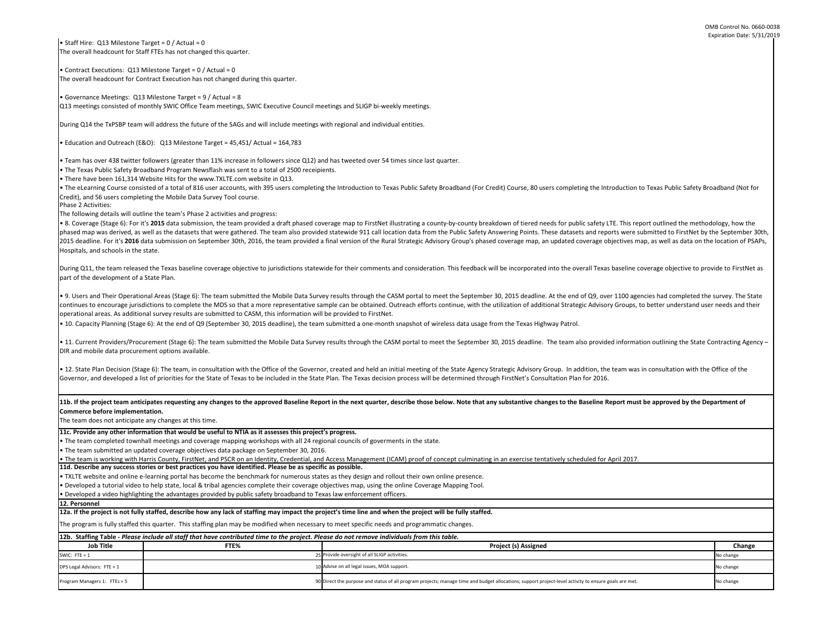| 80 users completing the Introduction to Texas Public Safety Broadband (Not for                                                                                            |           |  |  |  |  |
|---------------------------------------------------------------------------------------------------------------------------------------------------------------------------|-----------|--|--|--|--|
| red needs for public safety LTE. This report outlined the methodology, how the<br>ints. These datasets and reports were submitted to FirstNet by the September 30th,      |           |  |  |  |  |
| nap, an updated coverage objectives map, as well as data on the location of PSAPs,<br>orated into the overall Texas baseline coverage objective to provide to FirstNet as |           |  |  |  |  |
| adline. At the end of Q9, over 1100 agencies had completed the survey. The State<br>additional Strategic Advisory Groups, to better understand user needs and their       |           |  |  |  |  |
| as Highway Patrol.                                                                                                                                                        |           |  |  |  |  |
| dline. The team also provided information outlining the State Contracting Agency -                                                                                        |           |  |  |  |  |
| isory Group. In addition, the team was in consultation with the Office of the<br>Consultation Plan for 2016.                                                              |           |  |  |  |  |
| e changes to the Baseline Report must be approved by the Department of                                                                                                    |           |  |  |  |  |
| e tentatively scheduled for April 2017.                                                                                                                                   |           |  |  |  |  |
|                                                                                                                                                                           |           |  |  |  |  |
|                                                                                                                                                                           |           |  |  |  |  |
|                                                                                                                                                                           |           |  |  |  |  |
| signed                                                                                                                                                                    | Change    |  |  |  |  |
|                                                                                                                                                                           | No change |  |  |  |  |
|                                                                                                                                                                           | No change |  |  |  |  |
| port project-level activity to ensure goals are met.                                                                                                                      | No change |  |  |  |  |

11b. If the project team anticipates requesting any changes to the approved Baseline Report in the next quarter, describe those below. Note that any substantive **Commerce before implementation.** 

**11d. Describe any success stories or best practices you have identified. Please be as specific as possible.** • The team is working with Harris County, FirstNet, and PSCR on an Identity, Credential, and Access Management (ICAM) proof of concept culminating in an exercis

The team does not anticipate any changes at this time.

• TXLTE website and online e-learning portal has become the benchmark for numerous states as they design and rollout their own online presence.

• Staff Hire: Q13 Milestone Target =  $0/$  Actual = 0 The overall headcount for Staff FTEs has not changed this quarter.

• Developed a tutorial video to help state, local & tribal agencies complete their coverage objectives map, using the online Coverage Mapping Tool.

• Developed a video highlighting the advantages provided by public safety broadband to Texas law enforcement officers.

**11c. Provide any other information that would be useful to NTIA as it assesses this project's progress.** 

• The team completed townhall meetings and coverage mapping workshops with all 24 regional councils of goverments in the state.

• The eLearning Course consisted of a total of 816 user accounts, with 395 users completing the Introduction to Texas Public Safety Broadband (For Credit) Course, Credit), and 56 users completing the Mobile Data Survey Tool course.

• The team submitted an updated coverage objectives data package on September 30, 2016.

• 8. Coverage (Stage 6): For it's 2015 data submission, the team provided a draft phased coverage map to FirstNet illustrating a county-by-county breakdown of tier phased map was derived, as well as the datasets that were gathered. The team also provided statewide 911 call location data from the Public Safety Answering Poi 2015 deadline. For it's 2016 data submission on September 30th, 2016, the team provided a final version of the Rural Strategic Advisory Group's phased coverage n Hospitals, and schools in the state.

• Contract Executions: Q13 Milestone Target = 0 / Actual = 0 The overall headcount for Contract Execution has not changed during this quarter.

During Q11, the team released the Texas baseline coverage objective to jurisdictions statewide for their comments and consideration. This feedback will be incorpo part of the development of a State Plan.

• Governance Meetings: Q13 Milestone Target = 9 / Actual = 8 Q13 meetings consisted of monthly SWIC Office Team meetings, SWIC Executive Council meetings and SLIGP bi-weekly meetings.

During Q14 the TxPSBP team will address the future of the SAGs and will include meetings with regional and individual entities.

• Education and Outreach (E&O): Q13 Milestone Target = 45,451/ Actual = 164,783

• 9. Users and Their Operational Areas (Stage 6): The team submitted the Mobile Data Survey results through the CASM portal to meet the September 30, 2015 dea continues to encourage jurisdictions to complete the MDS so that a more representative sample can be obtained. Outreach efforts continue, with the utilization of operational areas. As additional survey results are submitted to CASM, this information will be provided to FirstNet.

• 10. Capacity Planning (Stage 6): At the end of Q9 (September 30, 2015 deadline), the team submitted a one-month snapshot of wireless data usage from the Texa

• Team has over 438 twitter followers (greater than 11% increase in followers since Q12) and has tweeted over 54 times since last quarter.

• The Texas Public Safety Broadband Program Newsflash was sent to a total of 2500 receipients.

• 11. Current Providers/Procurement (Stage 6): The team submitted the Mobile Data Survey results through the CASM portal to meet the September 30, 2015 dea DIR and mobile data procurement options available.

• 12. State Plan Decision (Stage 6): The team, in consultation with the Office of the Governor, created and held an initial meeting of the State Agency Strategic Advi Governor, and developed a list of priorities for the State of Texas to be included in the State Plan. The Texas decision process will be determined through FirstNet's

• There have been 161,314 Website Hits for the www.TXLTE.com website in Q13.

| 12b. Staffing Table - Please include all staff that have contributed time to the project. Please do not remove individuals from this table. |      |                                                                                                                                                       |           |  |  |
|---------------------------------------------------------------------------------------------------------------------------------------------|------|-------------------------------------------------------------------------------------------------------------------------------------------------------|-----------|--|--|
| <b>Job Title</b>                                                                                                                            | FTE% | <b>Project (s) Assigned</b>                                                                                                                           | Change    |  |  |
| SWIC: FTE = $1$                                                                                                                             |      | 25 Provide oversight of all SLIGP activities.                                                                                                         | No change |  |  |
| DPS Legal Advisors: FTE = 1                                                                                                                 |      | 10 Advise on all legal issues, MOA support.                                                                                                           | No change |  |  |
| Program Managers 1: FTEs = 5                                                                                                                |      | 90 Direct the purpose and status of all program projects; manage time and budget allocations; support project-level activity to ensure goals are met. | No change |  |  |

Phase 2 Activities:

The following details will outline the team's Phase 2 activities and progress:

The program is fully staffed this quarter. This staffing plan may be modified when necessary to meet specific needs and programmatic changes.

**12a. If the project is not fully staffed, describe how any lack of staffing may impact the project's time line and when the project will be fully staffed.**

**12. Personnel**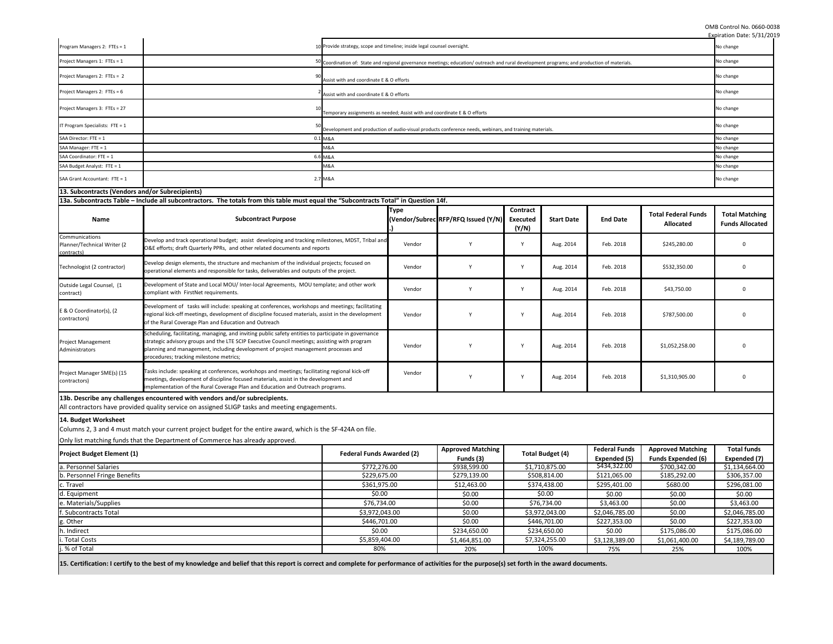|                                                             |                                                                                                                                                                                                                                                                                                                                        |                                  |                                                                                                                                             |                                                                                                         |                          |                         |                                      |                                                       | Expiration Date: 5/31/2019                      |
|-------------------------------------------------------------|----------------------------------------------------------------------------------------------------------------------------------------------------------------------------------------------------------------------------------------------------------------------------------------------------------------------------------------|----------------------------------|---------------------------------------------------------------------------------------------------------------------------------------------|---------------------------------------------------------------------------------------------------------|--------------------------|-------------------------|--------------------------------------|-------------------------------------------------------|-------------------------------------------------|
| Program Managers 2: FTEs = 1                                |                                                                                                                                                                                                                                                                                                                                        |                                  | 10 Provide strategy, scope and timeline; inside legal counsel oversight.                                                                    |                                                                                                         |                          |                         |                                      |                                                       | No change                                       |
| Project Managers 1: FTEs = 1                                |                                                                                                                                                                                                                                                                                                                                        |                                  | 50 Coordination of: State and regional governance meetings; education/outreach and rural development programs; and production of materials. |                                                                                                         |                          |                         |                                      |                                                       | No change                                       |
| Project Managers 2: FTEs = 2                                | 90<br>Assist with and coordinate E & O efforts                                                                                                                                                                                                                                                                                         |                                  |                                                                                                                                             |                                                                                                         |                          |                         |                                      |                                                       | No change                                       |
| Project Managers 2: FTEs = 6                                | Assist with and coordinate E & O efforts                                                                                                                                                                                                                                                                                               |                                  |                                                                                                                                             |                                                                                                         |                          |                         |                                      |                                                       | No change                                       |
| Project Managers 3: FTEs = 27                               | Temporary assignments as needed; Assist with and coordinate E & O efforts                                                                                                                                                                                                                                                              |                                  |                                                                                                                                             |                                                                                                         |                          |                         |                                      |                                                       | No change                                       |
| IT Program Specialists: FTE = 1                             |                                                                                                                                                                                                                                                                                                                                        |                                  |                                                                                                                                             | Development and production of audio-visual products conference needs, webinars, and training materials. |                          |                         |                                      |                                                       | No change                                       |
| SAA Director: FTE = 1                                       |                                                                                                                                                                                                                                                                                                                                        | 0.1 M&A                          |                                                                                                                                             |                                                                                                         |                          |                         |                                      |                                                       | No change                                       |
| SAA Manager: FTE = 1                                        |                                                                                                                                                                                                                                                                                                                                        | M&A                              |                                                                                                                                             |                                                                                                         |                          |                         |                                      |                                                       | No change                                       |
| SAA Coordinator: FTE = 1                                    |                                                                                                                                                                                                                                                                                                                                        | 6.6 M&A                          |                                                                                                                                             |                                                                                                         |                          |                         |                                      |                                                       | No change                                       |
| SAA Budget Analyst: FTE = 1                                 |                                                                                                                                                                                                                                                                                                                                        | M&A                              |                                                                                                                                             |                                                                                                         |                          |                         |                                      |                                                       | No change                                       |
| SAA Grant Accountant: FTE = 1                               |                                                                                                                                                                                                                                                                                                                                        | 2.7 M&A                          |                                                                                                                                             |                                                                                                         |                          |                         |                                      |                                                       | No change                                       |
| 13. Subcontracts (Vendors and/or Subrecipients)             |                                                                                                                                                                                                                                                                                                                                        |                                  |                                                                                                                                             |                                                                                                         |                          |                         |                                      |                                                       |                                                 |
|                                                             | 13a. Subcontracts Table – Include all subcontractors. The totals from this table must equal the "Subcontracts Total" in Question 14f.                                                                                                                                                                                                  |                                  |                                                                                                                                             |                                                                                                         |                          |                         |                                      |                                                       |                                                 |
|                                                             |                                                                                                                                                                                                                                                                                                                                        |                                  | <b>Type</b>                                                                                                                                 |                                                                                                         | Contract                 |                         |                                      |                                                       |                                                 |
| <b>Name</b>                                                 | <b>Subcontract Purpose</b>                                                                                                                                                                                                                                                                                                             |                                  |                                                                                                                                             | (Vendor/Subrec RFP/RFQ Issued (Y/N)                                                                     | <b>Executed</b><br>(Y/N) | <b>Start Date</b>       | <b>End Date</b>                      | <b>Total Federal Funds</b><br><b>Allocated</b>        | <b>Total Matching</b><br><b>Funds Allocated</b> |
| Communications<br>Planner/Technical Writer (2<br>contracts) | Develop and track operational budget; assist developing and tracking milestones, MDST, Tribal and<br>O&E efforts; draft Quarterly PPRs, and other related documents and reports                                                                                                                                                        |                                  | Vendor                                                                                                                                      |                                                                                                         | Y                        | Aug. 2014               | Feb. 2018                            | \$245,280.00                                          | $\Omega$                                        |
| Technologist (2 contractor)                                 | Develop design elements, the structure and mechanism of the individual projects; focused on<br>operational elements and responsible for tasks, deliverables and outputs of the project.                                                                                                                                                |                                  | Vendor                                                                                                                                      |                                                                                                         | Y                        | Aug. 2014               | Feb. 2018                            | \$532,350.00                                          | $\Omega$                                        |
| Outside Legal Counsel, (1<br>contract)                      | Development of State and Local MOU/ Inter-local Agreements, MOU template; and other work<br>compliant with FirstNet requirements.                                                                                                                                                                                                      |                                  | Vendor                                                                                                                                      | Y                                                                                                       | Y                        | Aug. 2014               | Feb. 2018                            | \$43,750.00                                           | 0                                               |
| E & O Coordinator(s), (2<br>contractors)                    | Development of tasks will include: speaking at conferences, workshops and meetings; facilitating<br>regional kick-off meetings, development of discipline focused materials, assist in the development<br>of the Rural Coverage Plan and Education and Outreach                                                                        |                                  | Vendor                                                                                                                                      |                                                                                                         | $\mathsf{v}$             | Aug. 2014               | Feb. 2018                            | \$787,500.00                                          | $\Omega$                                        |
| <b>Project Management</b><br>Administrators                 | Scheduling, facilitating, managing, and inviting public safety entities to participate in governance<br>strategic advisory groups and the LTE SCIP Executive Council meetings; assisting with program<br>planning and management, including development of project management processes and<br>procedures; tracking milestone metrics; |                                  | Vendor                                                                                                                                      |                                                                                                         | $\mathsf{v}$             | Aug. 2014               | Feb. 2018                            | \$1,052,258.00                                        |                                                 |
| Project Manager SME(s) (15<br>contractors)                  | Tasks include: speaking at conferences, workshops and meetings; facilitating regional kick-off<br>meetings, development of discipline focused materials, assist in the development and<br>implementation of the Rural Coverage Plan and Education and Outreach programs.                                                               |                                  | Vendor                                                                                                                                      |                                                                                                         | Y                        | Aug. 2014               | Feb. 2018                            | \$1,310,905.00                                        | $\Omega$                                        |
|                                                             | 13b. Describe any challenges encountered with vendors and/or subrecipients.<br>All contractors have provided quality service on assigned SLIGP tasks and meeting engagements.                                                                                                                                                          |                                  |                                                                                                                                             |                                                                                                         |                          |                         |                                      |                                                       |                                                 |
| 14. Budget Worksheet                                        | Columns 2, 3 and 4 must match your current project budget for the entire award, which is the SF-424A on file.                                                                                                                                                                                                                          |                                  |                                                                                                                                             |                                                                                                         |                          |                         |                                      |                                                       |                                                 |
|                                                             | Only list matching funds that the Department of Commerce has already approved.                                                                                                                                                                                                                                                         |                                  |                                                                                                                                             |                                                                                                         |                          |                         |                                      |                                                       |                                                 |
| <b>Project Budget Element (1)</b>                           |                                                                                                                                                                                                                                                                                                                                        | <b>Federal Funds Awarded (2)</b> |                                                                                                                                             | <b>Approved Matching</b><br>Funds (3)                                                                   |                          | <b>Total Budget (4)</b> | <b>Federal Funds</b><br>Expended (5) | <b>Approved Matching</b><br><b>Funds Expended (6)</b> | <b>Total funds</b><br>Expended (7)              |
| a. Personnel Salaries<br>\$772,276.00                       |                                                                                                                                                                                                                                                                                                                                        |                                  | \$938,599.00                                                                                                                                |                                                                                                         | \$1,710,875.00           | \$434,322.00            | \$700,342.00                         | \$1,134,664.00                                        |                                                 |
| \$229,675.00<br>b. Personnel Fringe Benefits                |                                                                                                                                                                                                                                                                                                                                        |                                  | \$279,139.00                                                                                                                                | \$508,814.00                                                                                            |                          | \$121,065.00            | \$185,292.00                         | \$306,357.00                                          |                                                 |
| c. Travel<br>\$361,975.00                                   |                                                                                                                                                                                                                                                                                                                                        |                                  | \$12,463.00                                                                                                                                 |                                                                                                         | \$374,438.00             | \$295,401.00            | \$680.00                             | \$296,081.00                                          |                                                 |
| \$0.00<br>d. Equipment                                      |                                                                                                                                                                                                                                                                                                                                        |                                  | \$0.00                                                                                                                                      |                                                                                                         | \$0.00                   | \$0.00                  | \$0.00                               | \$0.00                                                |                                                 |
| e. Materials/Supplies                                       | \$76,734.00                                                                                                                                                                                                                                                                                                                            |                                  |                                                                                                                                             | \$0.00                                                                                                  | \$76,734.00              |                         | \$3,463.00                           | \$0.00                                                | \$3,463.00                                      |
| f. Subcontracts Total                                       | \$3,972,043.00                                                                                                                                                                                                                                                                                                                         |                                  |                                                                                                                                             | \$0.00                                                                                                  | \$3,972,043.00           |                         | \$2,046,785.00                       | \$0.00                                                | \$2,046,785.00                                  |
| g. Other                                                    | \$446,701.00                                                                                                                                                                                                                                                                                                                           |                                  |                                                                                                                                             | \$0.00                                                                                                  |                          | \$446,701.00            | \$227,353.00                         | \$0.00                                                | \$227,353.00                                    |
| \$0.00                                                      |                                                                                                                                                                                                                                                                                                                                        |                                  | \$234,650.00                                                                                                                                |                                                                                                         | \$234,650.00             | \$0.00                  | \$175,086.00                         | \$175,086.00                                          |                                                 |
|                                                             | \$5,859,404.00                                                                                                                                                                                                                                                                                                                         |                                  |                                                                                                                                             |                                                                                                         |                          |                         |                                      |                                                       |                                                 |
| h. Indirect<br>. Total Costs                                |                                                                                                                                                                                                                                                                                                                                        |                                  |                                                                                                                                             | \$1,464,851.00                                                                                          |                          | \$7,324,255.00          | \$3,128,389.00                       | \$1,061,400.00                                        | \$4,189,789.00                                  |